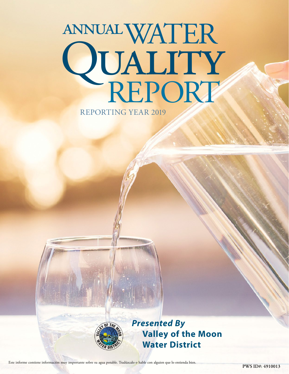# WATER annual QUALITY REPORTING YEAR 2019



*Presented By* **Valley of the Moon Water District**

**PWS ID#: 4910013** Este informe contiene información muy importante sobre su agua potable. Tradúzcalo o hable con alguien que lo entienda bien.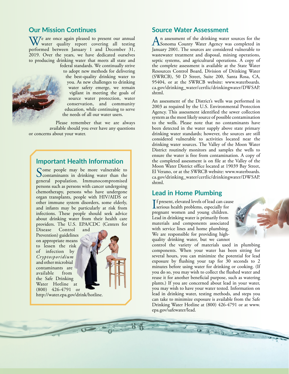# **Our Mission Continues**

W/e are once again pleased to present our annual water quality report covering all testing performed between January 1 and December 31, 2019. Over the years, we have dedicated ourselves to producing drinking water that meets all state and



federal standards. We continually strive to adopt new methods for delivering the best-quality drinking water to you. As new challenges to drinking water safety emerge, we remain vigilant in meeting the goals of source water protection, water conservation, and community education, while continuing to serve the needs of all our water users.

Please remember that we are always available should you ever have any questions or concerns about your water.

# **Important Health Information**

Some people may be more vulnerable to<br>contaminants in drinking water than the general population. Immunocompromised persons such as persons with cancer undergoing chemotherapy, persons who have undergone organ transplants, people with HIV/AIDS or other immune system disorders, some elderly, and infants may be particularly at risk from infections. These people should seek advice about drinking water from their health care providers. The U.S. EPA/CDC (Centers for

Disease Control and Prevention) guidelines on appropriate means to lessen the risk of infection by *Cryptosporidium* and other microbial contaminants are available from the Safe Drinking Water Hotline at (800) 426-4791 or



<http://water.epa.gov/drink/hotline>.

## **Source Water Assessment**

An assessment of the drinking water sources for the<br>Sonoma County Water Agency was completed in January 2001. The sources are considered vulnerable to wastewater treatment and disposal, mining operations, septic systems, and agricultural operations. A copy of the complete assessment is available at the State Water Resources Control Board, Division of Drinking Water (SWRCB), 50 D Street, Suite 200, Santa Rosa, CA, 95404, or at the SWRCB website: [www.waterboards.](http://www.waterboards.ca.gov/drinking_water/certlic/drinkingwater/DWSAP.shtml) [ca.gov/drinking\\_water/certlic/drinkingwater/DWSAP.](http://www.waterboards.ca.gov/drinking_water/certlic/drinkingwater/DWSAP.shtml) [shtml](http://www.waterboards.ca.gov/drinking_water/certlic/drinkingwater/DWSAP.shtml).

An assessment of the District's wells was performed in 2003 as required by the U.S. Environmental Protection Agency. This assessment identified the sewer collection system as the most likely source of possible contamination to the wells. Please note that no contaminants have been detected in the water supply above state primary drinking water standards; however, the sources are still considered vulnerable to activities located near the drinking water sources. The Valley of the Moon Water District routinely monitors and samples the wells to ensure the water is free from contamination. A copy of the completed assessment is on file at the Valley of the Moon Water District office located at 19039 Bay Street, El Verano, or at the SWRCB website: [www.waterboards.](http://www.waterboards.ca.gov/drinking_water/certlic/drinkingwater/DWSAP.shtml) [ca.gov/drinking\\_water/certlic/drinkingwater/DWSAP.](http://www.waterboards.ca.gov/drinking_water/certlic/drinkingwater/DWSAP.shtml) [shtml](http://www.waterboards.ca.gov/drinking_water/certlic/drinkingwater/DWSAP.shtml).

# **Lead in Home Plumbing**

If present, elevated levels of lead can cause<br>serious health problems, especially for serious health problems, especially for pregnant women and young children. Lead in drinking water is primarily from materials and components associated with service lines and home plumbing. We are responsible for providing highquality drinking water, but we cannot

[epa.gov/safewater/lead.](http://www.epa.gov/safewater/lead)

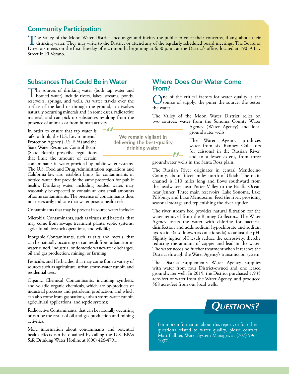# **Community Participation**

The Valley of the Moon Water District encourages and invites the public to voice their concerns, if any, about their<br>drinking water. They may write to the District or attend any of the regularly scheduled board meetings. T Directors meets on the first Tuesday of each month, beginning at 6:30 p.m., at the District's office, located at 19039 Bay Street in El Verano.

> **We remain vigilant in delivering the best-quality drinking water**

# **Substances That Could Be in Water**

The sources of drinking water (both tap water and bottled water) include rivers, lakes, streams, ponds, reservoirs, springs, and wells. As water travels over the surface of the land or through the ground, it dissolves naturally occurring minerals and, in some cases, radioactive material, and can pick up substances resulting from the presence of animals or from human activity.

In order to ensure that tap water is safe to drink, the U.S. Environmental Protection Agency (U.S. EPA) and the State Water Resources Control Board (State Board) prescribe regulations that limit the amount of certain

contaminants in water provided by public water systems. The U.S. Food and Drug Administration regulations and California law also establish limits for contaminants in bottled water that provide the same protection for public health. Drinking water, including bottled water, may reasonably be expected to contain at least small amounts of some contaminants. The presence of contaminants does not necessarily indicate that water poses a health risk.

Contaminants that may be present in source water include:

Microbial Contaminants, such as viruses and bacteria, that may come from sewage treatment plants, septic systems, agricultural livestock operations, and wildlife;

Inorganic Contaminants, such as salts and metals, that can be naturally occurring or can result from urban stormwater runoff, industrial or domestic wastewater discharges, oil and gas production, mining, or farming;

Pesticides and Herbicides, that may come from a variety of sources such as agriculture, urban storm-water runoff, and residential uses;

Organic Chemical Contaminants, including synthetic and volatile organic chemicals, which are by-products of industrial processes and petroleum production, and which can also come from gas stations, urban storm-water runoff, agricultural applications, and septic systems;

Radioactive Contaminants, that can be naturally occurring or can be the result of oil and gas production and mining activities.

More information about contaminants and potential health effects can be obtained by calling the U.S. EPA's Safe Drinking Water Hotline at (800) 426-4791.

# **Where Does Our Water Come From?**

One of the critical factors for water quality is the source of supply: the purer the source, the better the water.

The Valley of the Moon Water District relies on two sources: water from the Sonoma County Water

Agency (Water Agency) and local groundwater wells.

The Water Agency produces water from six Ranney Collectors (or caissons) in the Russian River, and to a lesser extent, from three

groundwater wells in the Santa Rosa plain.

 $\ell$ 

The Russian River originates in central Mendocino County, about fifteen miles north of Ukiah. The main channel is 110 miles long and flows southward from the headwaters near Potter Valley to the Pacific Ocean near Jenner. Three main reservoirs, Lake Sonoma, Lake Pillsbury, and Lake Mendocino, feed the river, providing seasonal storage and replenishing the river aquifer.

The river stream bed provides natural filtration for the water removed from the Ranney Collectors. The Water Agency treats the water with chlorine for bacterial disinfection and adds sodium hypochlorate and sodium hydroxide (also known as caustic soda) to adjust the pH. Slightly higher pH levels reduce the corrosivity, thereby reducing the amount of copper and lead in the water. The water needs no further treatment when it reaches the District through the Water Agency's transmission system.

The District supplements Water Agency supplies with water from four District-owned and one leased groundwater well. In 2019, the District purchased 1,935 acre-feet of water from the Water Agency, and produced 568 acre-feet from our local wells.



For more information about this report, or for other questions related to water quality, please contact Matt Fullner, Water System Manager, at (707) 996- 1037.

-11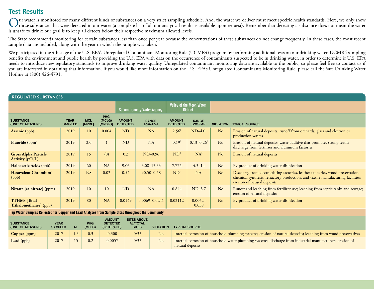# **Test Results**

Our water is monitored for many different kinds of substances on a very strict sampling schedule. And, the water we deliver must meet specific health standards. Here, we only show<br>those substances that were detected in our is unsafe to drink; our goal is to keep all detects below their respective maximum allowed levels.

The State recommends monitoring for certain substances less than once per year because the concentrations of these substances do not change frequently. In these cases, the most recent sample data are included, along with the year in which the sample was taken.

We participated in the 4th stage of the U.S. EPA's Unregulated Contaminant Monitoring Rule (UCMR4) program by performing additional tests on our drinking water. UCMR4 sampling benefits the environment and public health by providing the U.S. EPA with data on the occurrence of contaminants suspected to be in drinking water, in order to determine if U.S. EPA needs to introduce new regulatory standards to improve drinking water quality. Unregulated contaminant monitoring data are available to the public, so please feel free to contact us if you are interested in obtaining that information. If you would like more information on the U.S. EPA's Unregulated Contaminants Monitoring Rule, please call the Safe Drinking Water Hotline at (800) 426-4791.

| <b>REGULATED SUBSTANCES</b>                            |                               |                      |                                 |                                  |                            |                                             |                                 |                  |                                                                                                                                                                                                   |  |  |
|--------------------------------------------------------|-------------------------------|----------------------|---------------------------------|----------------------------------|----------------------------|---------------------------------------------|---------------------------------|------------------|---------------------------------------------------------------------------------------------------------------------------------------------------------------------------------------------------|--|--|
|                                                        |                               |                      |                                 |                                  | Sonoma County Water Agency | Valley of the Moon Water<br><b>District</b> |                                 |                  |                                                                                                                                                                                                   |  |  |
| <b>SUBSTANCE</b><br>(UNIT OF MEASURE)                  | <b>YEAR</b><br><b>SAMPLED</b> | <b>MCL</b><br>[MRDL] | <b>PHG</b><br>(MCLG)<br>[MRDLG] | <b>AMOUNT</b><br><b>DETECTED</b> | <b>RANGE</b><br>LOW-HIGH   | <b>AMOUNT</b><br><b>DETECTED</b>            | <b>RANGE</b><br><b>LOW-HIGH</b> | <b>VIOLATION</b> | <b>TYPICAL SOURCE</b>                                                                                                                                                                             |  |  |
| <b>Arsenic</b> (ppb)                                   | 2019                          | 10                   | 0.004                           | <b>ND</b>                        | <b>NA</b>                  | 2.56 <sup>1</sup>                           | $ND-4.01$                       | No               | Erosion of natural deposits; runoff from orchards; glass and electronics<br>production wastes                                                                                                     |  |  |
| <b>Fluoride</b> (ppm)                                  | 2019                          | 2.0                  |                                 | <b>ND</b>                        | <b>NA</b>                  | $0.19^{2}$                                  | $0.13 - 0.26^2$                 | No               | Erosion of natural deposits; water additive that promotes strong teeth;<br>discharge from fertilizer and aluminum factories                                                                       |  |  |
| <b>Gross Alpha Particle</b><br><b>Activity</b> (pCi/L) | 2019                          | 15                   | (0)                             | 0.3                              | $ND-0.96$                  | $ND^3$                                      | $NA^3$                          | N <sub>o</sub>   | Erosion of natural deposits                                                                                                                                                                       |  |  |
| <b>Haloacetic Acids (ppb)</b>                          | 2019                          | 60                   | <b>NA</b>                       | 9.06                             | $3.08 - 13.33$             | 7.775                                       | $4.3 - 14$                      | No               | By-product of drinking water disinfection                                                                                                                                                         |  |  |
| <b>Hexavalent Chromium</b> <sup>4</sup><br>(ppb)       | 2019                          | <b>NS</b>            | 0.02                            | 0.54                             | $<0.50-0.58$               | ND <sup>1</sup>                             | NA <sup>1</sup>                 | No               | Discharge from electroplating factories, leather tanneries, wood preservation,<br>chemical synthesis, refractory production, and textile manufacturing facilities;<br>erosion of natural deposits |  |  |
| Nitrate [as nitrate] (ppm)                             | 2019                          | 10                   | 10                              | ND                               | <b>NA</b>                  | 0.844                                       | $ND-3.7$                        | No               | Runoff and leaching from fertilizer use; leaching from septic tanks and sewage;<br>erosion of natural deposits                                                                                    |  |  |
| <b>TTHMs</b> [Total]<br><b>Trihalomethanes</b> (ppb)   | 2019                          | 80                   | <b>NA</b>                       | 0.0149                           | $0.0069 - 0.0241$          | 0.02112                                     | $0.0062 -$<br>0.038             | N <sub>o</sub>   | By-product of drinking water disinfection                                                                                                                                                         |  |  |

**Tap Water Samples Collected for Copper and Lead Analyses from Sample Sites throughout the Community**

| <b>SUBSTANCE</b><br>(UNIT OF MEASURE) | <b>YEAR</b><br><b>SAMPLED</b> | <b>AL</b>      | <b>PHG</b><br>(MCLG) | <b>AMOUNT</b><br><b>DETECTED</b><br>(90TH %ILE) | <b>SITES ABOVE</b><br><b>AL/TOTAL</b><br><b>SITES</b> | <b>VIOLATION</b> | <b>TYPICAL SOURCE</b>                                                                                                           |
|---------------------------------------|-------------------------------|----------------|----------------------|-------------------------------------------------|-------------------------------------------------------|------------------|---------------------------------------------------------------------------------------------------------------------------------|
| Copper (ppm)                          | 2017                          | $\overline{3}$ | 0.3                  | 0.300                                           | 0/33                                                  | N <sub>o</sub>   | Internal corrosion of household plumbing systems; erosion of natural deposits; leaching from wood preservatives                 |
| Lead (ppb)                            | 2017                          | 15             | 0.2                  | 0.0057                                          | 0/33                                                  | <b>No</b>        | Internal corrosion of household water plumbing systems; discharge from industrial manufacturers; erosion of<br>natural deposits |